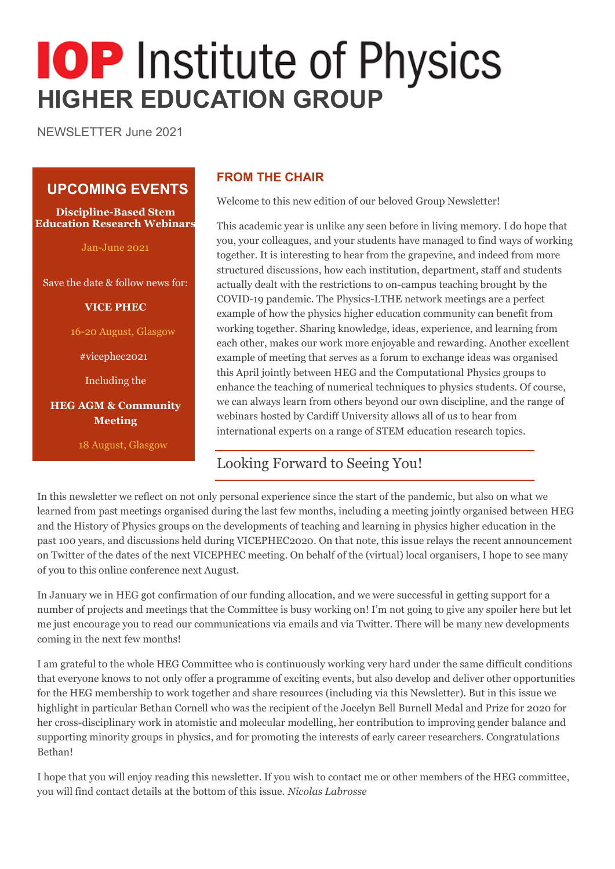# **IOP** Institute of Physics **HIGHER EDUCATION GROUP**

NEWSLETTER June 2021

# **UPCOMING EVENTS**

**Discipline-Based Stem Education Research Webinars**

Jan-June 2021

Save the date & follow news for:

**VICE PHEC**

16-20 August, Glasgow

#vicephec2021

Including the

**HEG AGM & Community Meeting**

18 August, Glasgow

# **FROM THE CHAIR**

Welcome to this new edition of our beloved Group Newsletter!

This academic year is unlike any seen before in living memory. I do hope that you, your colleagues, and your students have managed to find ways of working together. It is interesting to hear from the grapevine, and indeed from more structured discussions, how each institution, department, staff and students actually dealt with the restrictions to on-campus teaching brought by the COVID-19 pandemic. The Physics-LTHE network meetings are a perfect example of how the physics higher education community can benefit from working together. Sharing knowledge, ideas, experience, and learning from each other, makes our work more enjoyable and rewarding. Another excellent example of meeting that serves as a forum to exchange ideas was organised this April jointly between HEG and the Computational Physics groups to enhance the teaching of numerical techniques to physics students. Of course, we can always learn from others beyond our own discipline, and the range of webinars hosted by Cardiff University allows all of us to hear from international experts on a range of STEM education research topics.

# Looking Forward to Seeing You!

In this newsletter we reflect on not only personal experience since the start of the pandemic, but also on what we learned from past meetings organised during the last few months, including a meeting jointly organised between HEG and the History of Physics groups on the developments of teaching and learning in physics higher education in the past 100 years, and discussions held during VICEPHEC2020. On that note, this issue relays the recent announcement on Twitter of the dates of the next VICEPHEC meeting. On behalf of the (virtual) local organisers, I hope to see many of you to this online conference next August.

In January we in HEG got confirmation of our funding allocation, and we were successful in getting support for a number of projects and meetings that the Committee is busy working on! I'm not going to give any spoiler here but let me just encourage you to read our communications via emails and via Twitter. There will be many new developments coming in the next few months!

I am grateful to the whole HEG Committee who is continuously working very hard under the same difficult conditions that everyone knows to not only offer a programme of exciting events, but also develop and deliver other opportunities for the HEG membership to work together and share resources (including via this Newsletter). But in this issue we highlight in particular Bethan Cornell who was the recipient of the Jocelyn Bell Burnell Medal and Prize for 2020 for her cross-disciplinary work in atomistic and molecular modelling, her contribution to improving gender balance and supporting minority groups in physics, and for promoting the interests of early career researchers. Congratulations Bethan!

I hope that you will enjoy reading this newsletter. If you wish to contact me or other members of the HEG committee, you will find contact details at the bottom of this issue. *Nicolas Labrosse*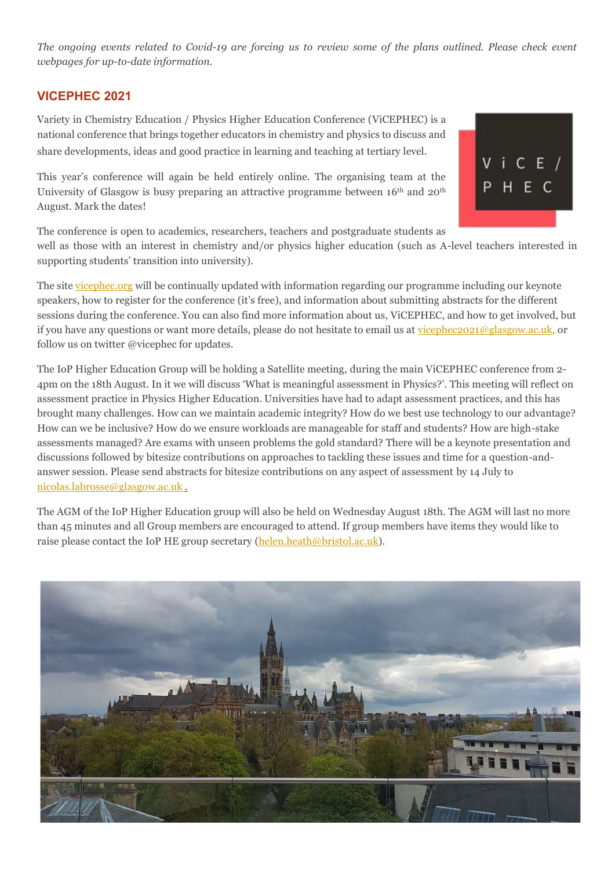*The ongoing events related to Covid-19 are forcing us to review some of the plans outlined. Please check event webpages for up-to-date information.*

#### **VICEPHEC 2021**

Variety in Chemistry Education / Physics Higher Education Conference (ViCEPHEC) is a national conference that brings together educators in chemistry and physics to discuss and share developments, ideas and good practice in learning and teaching at tertiary level.

This year's conference will again be held entirely online. The organising team at the University of Glasgow is busy preparing an attractive programme between 16<sup>th</sup> and 20<sup>th</sup> August. Mark the dates!

The conference is open to academics, researchers, teachers and postgraduate students as

well as those with an interest in chemistry and/or physics higher education (such as A-level teachers interested in supporting students' transition into university).

 $V$  i C E  $/$ 

HEC

The site [vicephec.org](https://vicephec21.wordpress.com/) will be continually updated with information regarding our programme including our keynote speakers, how to register for the conference (it's free), and information about submitting abstracts for the different sessions during the conference. You can also find more information about us, ViCEPHEC, and how to get involved, but if you have any questions or want more details, please do not hesitate to email us a[t vicephec2021@glasgow.ac.uk,](mailto:vicephec2021@glasgow.ac.uk) or follow us on twitter @vicephec for updates.

The IoP Higher Education Group will be holding a Satellite meeting, during the main ViCEPHEC conference from 2- 4pm on the 18th August. In it we will discuss 'What is meaningful assessment in Physics?'. This meeting will reflect on assessment practice in Physics Higher Education. Universities have had to adapt assessment practices, and this has brought many challenges. How can we maintain academic integrity? How do we best use technology to our advantage? How can we be inclusive? How do we ensure workloads are manageable for staff and students? How are high-stake assessments managed? Are exams with unseen problems the gold standard? There will be a keynote presentation and discussions followed by bitesize contributions on approaches to tackling these issues and time for a question-andanswer session. Please send abstracts for bitesize contributions on any aspect of assessment by 14 July to [nicolas.labrosse@glasgow.ac.uk](mailto:nicolas.labrosse@glasgow.ac.uk) .

The AGM of the IoP Higher Education group will also be held on Wednesday August 18th. The AGM will last no more than 45 minutes and all Group members are encouraged to attend. If group members have items they would like to raise please contact the IoP HE group secretary [\(helen.heath@bristol.ac.uk\)](mailto:helen.heath@bristol.ac.uk).

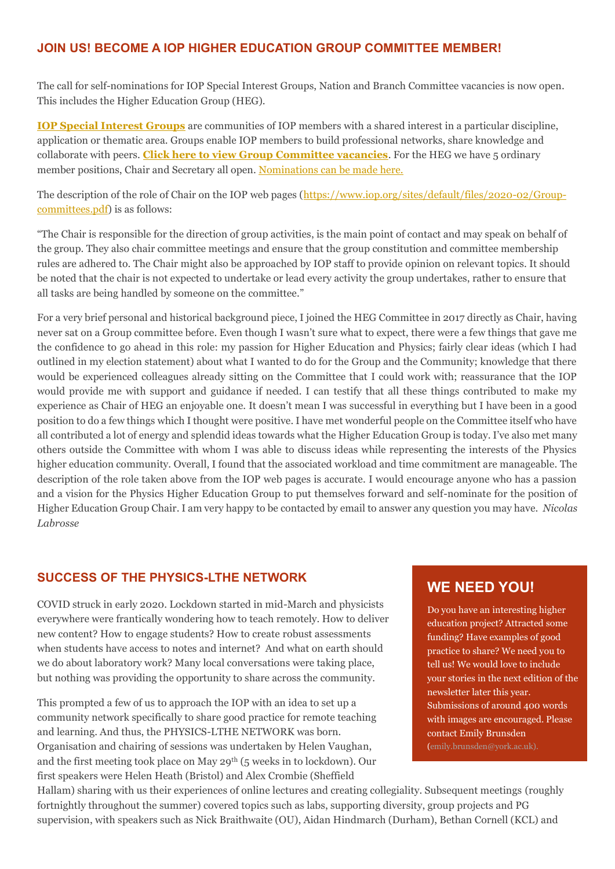#### **JOIN US! BECOME A IOP HIGHER EDUCATION GROUP COMMITTEE MEMBER!**

The call for self-nominations for IOP Special Interest Groups, Nation and Branch Committee vacancies is now open. This includes the Higher Education Group (HEG).

**[IOP Special Interest Groups](https://www.iop.org/physics-community/special-interest-groups#gref)** are communities of IOP members with a shared interest in a particular discipline, application or thematic area. Groups enable IOP members to build professional networks, share knowledge and collaborate with peers. **[Click here to view Group Committee vacancies](https://www.mi-nomination.com/iop/resources/Vacancies%20table%20-%20Groups_updated.pdf)**. For the HEG we have 5 ordinary member positions, Chair and Secretary all open. [Nominations can be made here.](https://www.mi-nomination.com/iop)

The description of the role of Chair on the IOP web pages [\(https://www.iop.org/sites/default/files/2020-02/Group](https://www.iop.org/sites/default/files/2020-02/Group-committees.pdf)[committees.pdf\)](https://www.iop.org/sites/default/files/2020-02/Group-committees.pdf) is as follows:

"The Chair is responsible for the direction of group activities, is the main point of contact and may speak on behalf of the group. They also chair committee meetings and ensure that the group constitution and committee membership rules are adhered to. The Chair might also be approached by IOP staff to provide opinion on relevant topics. It should be noted that the chair is not expected to undertake or lead every activity the group undertakes, rather to ensure that all tasks are being handled by someone on the committee."

For a very brief personal and historical background piece, I joined the HEG Committee in 2017 directly as Chair, having never sat on a Group committee before. Even though I wasn't sure what to expect, there were a few things that gave me the confidence to go ahead in this role: my passion for Higher Education and Physics; fairly clear ideas (which I had outlined in my election statement) about what I wanted to do for the Group and the Community; knowledge that there would be experienced colleagues already sitting on the Committee that I could work with; reassurance that the IOP would provide me with support and guidance if needed. I can testify that all these things contributed to make my experience as Chair of HEG an enjoyable one. It doesn't mean I was successful in everything but I have been in a good position to do a few things which I thought were positive. I have met wonderful people on the Committee itself who have all contributed a lot of energy and splendid ideas towards what the Higher Education Group is today. I've also met many others outside the Committee with whom I was able to discuss ideas while representing the interests of the Physics higher education community. Overall, I found that the associated workload and time commitment are manageable. The description of the role taken above from the IOP web pages is accurate. I would encourage anyone who has a passion and a vision for the Physics Higher Education Group to put themselves forward and self-nominate for the position of Higher Education Group Chair. I am very happy to be contacted by email to answer any question you may have. *Nicolas Labrosse*

#### **SUCCESS OF THE PHYSICS-LTHE NETWORK**

COVID struck in early 2020. Lockdown started in mid-March and physicists everywhere were frantically wondering how to teach remotely. How to deliver new content? How to engage students? How to create robust assessments when students have access to notes and internet? And what on earth should we do about laboratory work? Many local conversations were taking place, but nothing was providing the opportunity to share across the community.

This prompted a few of us to approach the IOP with an idea to set up a community network specifically to share good practice for remote teaching and learning. And thus, the PHYSICS-LTHE NETWORK was born. Organisation and chairing of sessions was undertaken by Helen Vaughan, and the first meeting took place on May 29th (5 weeks in to lockdown). Our first speakers were Helen Heath (Bristol) and Alex Crombie (Sheffield

# **WE NEED YOU!**

Do you have an interesting higher education project? Attracted some funding? Have examples of good practice to share? We need you to tell us! We would love to include your stories in the next edition of the newsletter later this year. Submissions of around 400 words with images are encouraged. Please contact Emily Brunsden (emily.brunsden@york.ac.uk).

Hallam) sharing with us their experiences of online lectures and creating collegiality. Subsequent meetings (roughly fortnightly throughout the summer) covered topics such as labs, supporting diversity, group projects and PG supervision, with speakers such as Nick Braithwaite (OU), Aidan Hindmarch (Durham), Bethan Cornell (KCL) and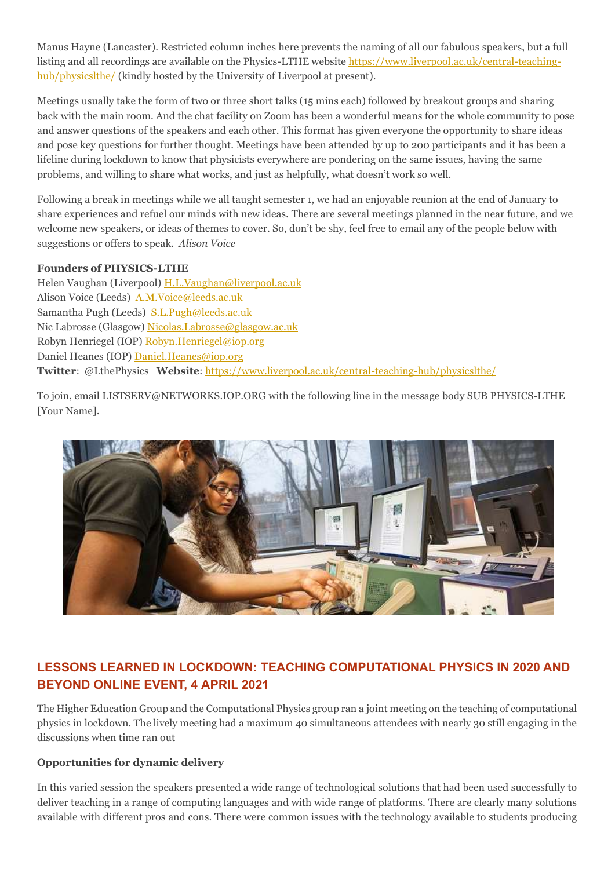Manus Hayne (Lancaster). Restricted column inches here prevents the naming of all our fabulous speakers, but a full listing and all recordings are available on the Physics-LTHE websit[e https://www.liverpool.ac.uk/central-teaching](https://www.liverpool.ac.uk/central-teaching-hub/physicslthe/)[hub/physicslthe/](https://www.liverpool.ac.uk/central-teaching-hub/physicslthe/) (kindly hosted by the University of Liverpool at present).

Meetings usually take the form of two or three short talks (15 mins each) followed by breakout groups and sharing back with the main room. And the chat facility on Zoom has been a wonderful means for the whole community to pose and answer questions of the speakers and each other. This format has given everyone the opportunity to share ideas and pose key questions for further thought. Meetings have been attended by up to 200 participants and it has been a lifeline during lockdown to know that physicists everywhere are pondering on the same issues, having the same problems, and willing to share what works, and just as helpfully, what doesn't work so well.

Following a break in meetings while we all taught semester 1, we had an enjoyable reunion at the end of January to share experiences and refuel our minds with new ideas. There are several meetings planned in the near future, and we welcome new speakers, or ideas of themes to cover. So, don't be shy, feel free to email any of the people below with suggestions or offers to speak. *Alison Voice*

#### **Founders of PHYSICS-LTHE**

Helen Vaughan (Liverpool) [H.L.Vaughan@liverpool.ac.uk](mailto:H.L.Vaughan@liverpool.ac.uk) Alison Voice (Leeds) [A.M.Voice@leeds.ac.uk](mailto:A.M.Voice@leeds.ac.uk) Samantha Pugh (Leeds) [S.L.Pugh@leeds.ac.uk](mailto:S.L.Pugh@leeds.ac.uk) Nic Labrosse (Glasgow) [Nicolas.Labrosse@glasgow.ac.uk](mailto:Nicolas.Labrosse@glasgow.ac.uk) Robyn Henriegel (IOP) [Robyn.Henriegel@iop.org](mailto:Robyn.Henriegel@iop.org) Daniel Heanes (IOP) [Daniel.Heanes@iop.org](mailto:Daniel.Heanes@iop.org) **Twitter**: @LthePhysics **Website**:<https://www.liverpool.ac.uk/central-teaching-hub/physicslthe/>

To join, email LISTSERV@NETWORKS.IOP.ORG with the following line in the message body SUB PHYSICS-LTHE [Your Name].



# **LESSONS LEARNED IN LOCKDOWN: TEACHING COMPUTATIONAL PHYSICS IN 2020 AND BEYOND ONLINE EVENT, 4 APRIL 2021**

The Higher Education Group and the Computational Physics group ran a joint meeting on the teaching of computational physics in lockdown. The lively meeting had a maximum 40 simultaneous attendees with nearly 30 still engaging in the discussions when time ran out

#### **Opportunities for dynamic delivery**

In this varied session the speakers presented a wide range of technological solutions that had been used successfully to deliver teaching in a range of computing languages and with wide range of platforms. There are clearly many solutions available with different pros and cons. There were common issues with the technology available to students producing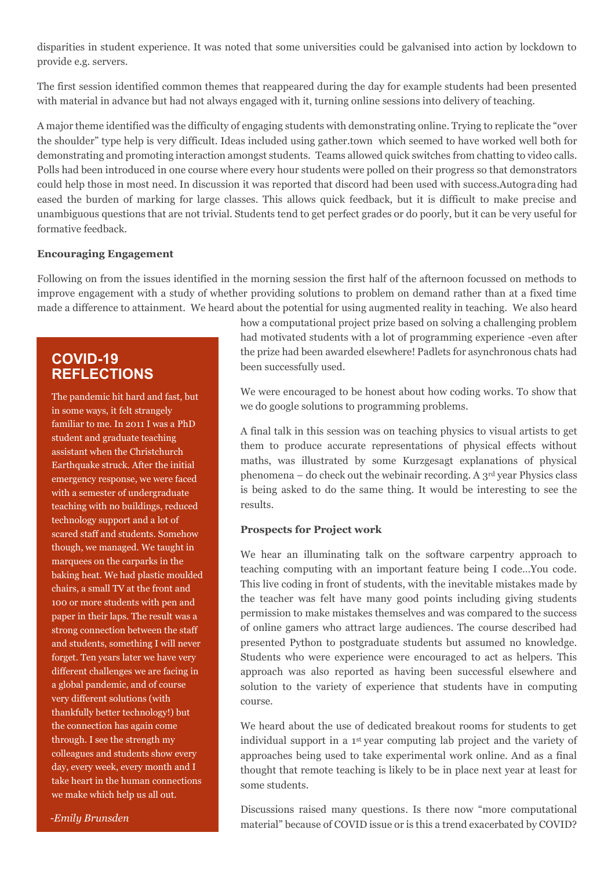disparities in student experience. It was noted that some universities could be galvanised into action by lockdown to provide e.g. servers.

The first session identified common themes that reappeared during the day for example students had been presented with material in advance but had not always engaged with it, turning online sessions into delivery of teaching.

A major theme identified was the difficulty of engaging students with demonstrating online. Trying to replicate the "over the shoulder" type help is very difficult. Ideas included using gather.town which seemed to have worked well both for demonstrating and promoting interaction amongst students. Teams allowed quick switches from chatting to video calls. Polls had been introduced in one course where every hour students were polled on their progress so that demonstrators could help those in most need. In discussion it was reported that discord had been used with success.Autograding had eased the burden of marking for large classes. This allows quick feedback, but it is difficult to make precise and unambiguous questions that are not trivial. Students tend to get perfect grades or do poorly, but it can be very useful for formative feedback.

#### **Encouraging Engagement**

Following on from the issues identified in the morning session the first half of the afternoon focussed on methods to improve engagement with a study of whether providing solutions to problem on demand rather than at a fixed time made a difference to attainment. We heard about the potential for using augmented reality in teaching. We also heard

# **COVID-19 REFLECTIONS**

The pandemic hit hard and fast, but in some ways, it felt strangely familiar to me. In 2011 I was a PhD student and graduate teaching assistant when the Christchurch Earthquake struck. After the initial emergency response, we were faced with a semester of undergraduate teaching with no buildings, reduced technology support and a lot of scared staff and students. Somehow though, we managed. We taught in marquees on the carparks in the baking heat. We had plastic moulded chairs, a small TV at the front and 100 or more students with pen and paper in their laps. The result was a strong connection between the staff and students, something I will never forget. Ten years later we have very different challenges we are facing in a global pandemic, and of course very different solutions (with thankfully better technology!) but the connection has again come through. I see the strength my colleagues and students show every day, every week, every month and I take heart in the human connections we make which help us all out.

how a computational project prize based on solving a challenging problem had motivated students with a lot of programming experience -even after the prize had been awarded elsewhere! Padlets for asynchronous chats had been successfully used.

We were encouraged to be honest about how coding works. To show that we do google solutions to programming problems.

A final talk in this session was on teaching physics to visual artists to get them to produce accurate representations of physical effects without maths, was illustrated by some Kurzgesagt explanations of physical phenomena – do check out the webinair recording. A  $3<sup>rd</sup>$  year Physics class is being asked to do the same thing. It would be interesting to see the results.

#### **Prospects for Project work**

We hear an illuminating talk on the software carpentry approach to teaching computing with an important feature being I code…You code. This live coding in front of students, with the inevitable mistakes made by the teacher was felt have many good points including giving students permission to make mistakes themselves and was compared to the success of online gamers who attract large audiences. The course described had presented Python to postgraduate students but assumed no knowledge. Students who were experience were encouraged to act as helpers. This approach was also reported as having been successful elsewhere and solution to the variety of experience that students have in computing course.

We heard about the use of dedicated breakout rooms for students to get individual support in a 1st year computing lab project and the variety of approaches being used to take experimental work online. And as a final thought that remote teaching is likely to be in place next year at least for some students.

Discussions raised many questions. Is there now "more computational material" because of COVID issue or is this a trend exacerbated by COVID?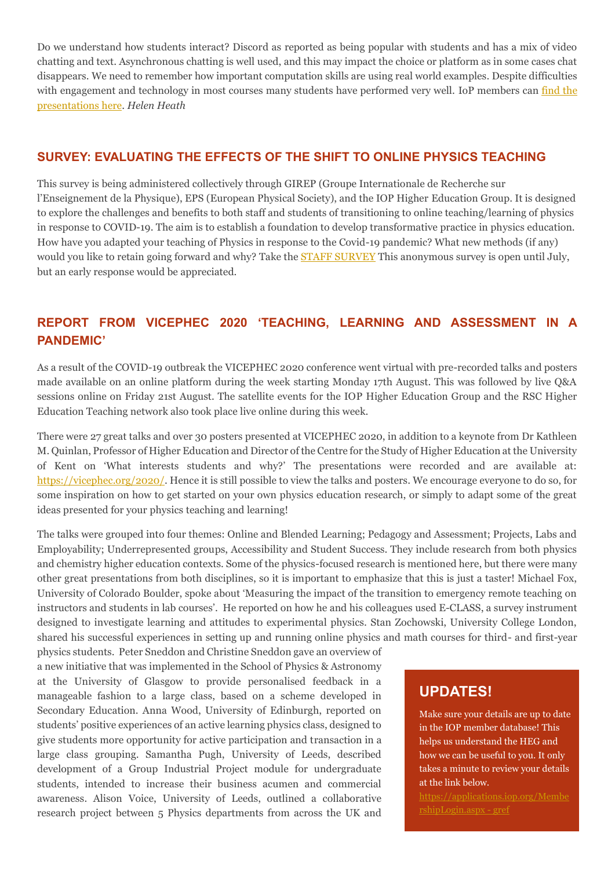Do we understand how students interact? Discord as reported as being popular with students and has a mix of video chatting and text. Asynchronous chatting is well used, and this may impact the choice or platform as in some cases chat disappears. We need to remember how important computation skills are using real world examples. Despite difficulties with engagement and technology in most courses many students have performed very well. IoP members can find the [presentations here.](http://webinars.iopconfs.org/resource) *Helen Heath*

#### **SURVEY: EVALUATING THE EFFECTS OF THE SHIFT TO ONLINE PHYSICS TEACHING**

This survey is being administered collectively through GIREP (Groupe Internationale de Recherche sur l'Enseignement de la Physique), EPS (European Physical Society), and the IOP Higher Education Group. It is designed to explore the challenges and benefits to both staff and students of transitioning to online teaching/learning of physics in response to COVID-19. The aim is to establish a foundation to develop transformative practice in physics education. How have you adapted your teaching of Physics in response to the Covid-19 pandemic? What new methods (if any) would you like to retain going forward and why? Take the **STAFF SURVEY** This anonymous survey is open until July, but an early response would be appreciated.

# **REPORT FROM VICEPHEC 2020 'TEACHING, LEARNING AND ASSESSMENT IN A PANDEMIC'**

As a result of the COVID-19 outbreak the VICEPHEC 2020 conference went virtual with pre-recorded talks and posters made available on an online platform during the week starting Monday 17th August. This was followed by live Q&A sessions online on Friday 21st August. The satellite events for the IOP Higher Education Group and the RSC Higher Education Teaching network also took place live online during this week.

There were 27 great talks and over 30 posters presented at VICEPHEC 2020, in addition to a keynote from Dr Kathleen M. Quinlan, Professor of Higher Education and Director of the Centre for the Study of Higher Education at the University of Kent on 'What interests students and why?' The presentations were recorded and are available at: [https://vicephec.org/2020/.](https://vicephec.org/2020/) Hence it is still possible to view the talks and posters. We encourage everyone to do so, for some inspiration on how to get started on your own physics education research, or simply to adapt some of the great ideas presented for your physics teaching and learning!

The talks were grouped into four themes: Online and Blended Learning; Pedagogy and Assessment; Projects, Labs and Employability; Underrepresented groups, Accessibility and Student Success. They include research from both physics and chemistry higher education contexts. Some of the physics-focused research is mentioned here, but there were many other great presentations from both disciplines, so it is important to emphasize that this is just a taster! Michael Fox, University of Colorado Boulder, spoke about 'Measuring the impact of the transition to emergency remote teaching on instructors and students in lab courses'. He reported on how he and his colleagues used E-CLASS, a survey instrument designed to investigate learning and attitudes to experimental physics. Stan Zochowski, University College London, shared his successful experiences in setting up and running online physics and math courses for third- and first-year

physics students. Peter Sneddon and Christine Sneddon gave an overview of a new initiative that was implemented in the School of Physics & Astronomy at the University of Glasgow to provide personalised feedback in a manageable fashion to a large class, based on a scheme developed in Secondary Education. Anna Wood, University of Edinburgh, reported on students' positive experiences of an active learning physics class, designed to give students more opportunity for active participation and transaction in a large class grouping. Samantha Pugh, University of Leeds, described development of a Group Industrial Project module for undergraduate students, intended to increase their business acumen and commercial awareness. Alison Voice, University of Leeds, outlined a collaborative research project between 5 Physics departments from across the UK and

# **UPDATES!**

Make sure your details are up to date in the IOP member database! This helps us understand the HEG and how we can be useful to you. It only takes a minute to review your details at the link below.

[https://applications.iop.org/Membe](https://applications.iop.org/MembershipLogin.aspx#gref) [rshipLogin.aspx -](https://applications.iop.org/MembershipLogin.aspx#gref) gref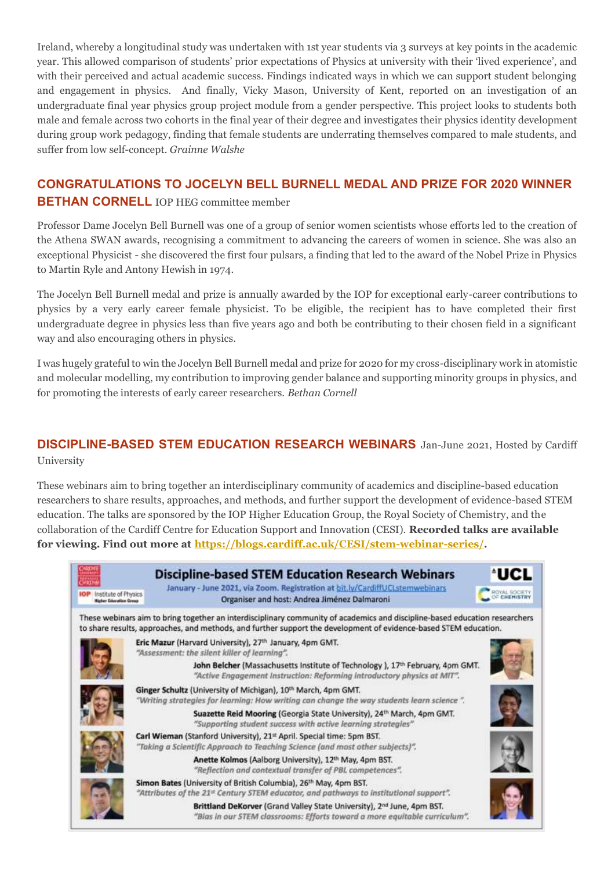Ireland, whereby a longitudinal study was undertaken with 1st year students via 3 surveys at key points in the academic year. This allowed comparison of students' prior expectations of Physics at university with their 'lived experience', and with their perceived and actual academic success. Findings indicated ways in which we can support student belonging and engagement in physics. And finally, Vicky Mason, University of Kent, reported on an investigation of an undergraduate final year physics group project module from a gender perspective. This project looks to students both male and female across two cohorts in the final year of their degree and investigates their physics identity development during group work pedagogy, finding that female students are underrating themselves compared to male students, and suffer from low self-concept. *Grainne Walshe*

# **CONGRATULATIONS TO JOCELYN BELL BURNELL MEDAL AND PRIZE FOR 2020 WINNER BETHAN CORNELL IOP HEG committee member**

Professor Dame Jocelyn Bell Burnell was one of a group of senior women scientists whose efforts led to the creation of the Athena SWAN awards, recognising a commitment to advancing the careers of women in science. She was also an exceptional Physicist - she discovered the first four pulsars, a finding that led to the award of the Nobel Prize in Physics to Martin Ryle and Antony Hewish in 1974.

The Jocelyn Bell Burnell medal and prize is annually awarded by the IOP for exceptional early-career contributions to physics by a very early career female physicist. To be eligible, the recipient has to have completed their first undergraduate degree in physics less than five years ago and both be contributing to their chosen field in a significant way and also encouraging others in physics.

I was hugely grateful to win the Jocelyn Bell Burnell medal and prize for 2020 for my cross-disciplinary work in atomistic and molecular modelling, my contribution to improving gender balance and supporting minority groups in physics, and for promoting the interests of early career researchers. *Bethan Cornell*

# **DISCIPLINE-BASED STEM EDUCATION RESEARCH WEBINARS** Jan-June 2021, Hosted by Cardiff

University

These webinars aim to bring together an interdisciplinary community of academics and discipline-based education researchers to share results, approaches, and methods, and further support the development of evidence-based STEM education. The talks are sponsored by the IOP Higher Education Group, the Royal Society of Chemistry, and the collaboration of the Cardiff Centre for Education Support and Innovation (CESI). **Recorded talks are available for viewing. Find out more at [https://blogs.cardiff.ac.uk/CESI/stem-webinar-series/.](https://blogs.cardiff.ac.uk/CESI/stem-webinar-series/)**

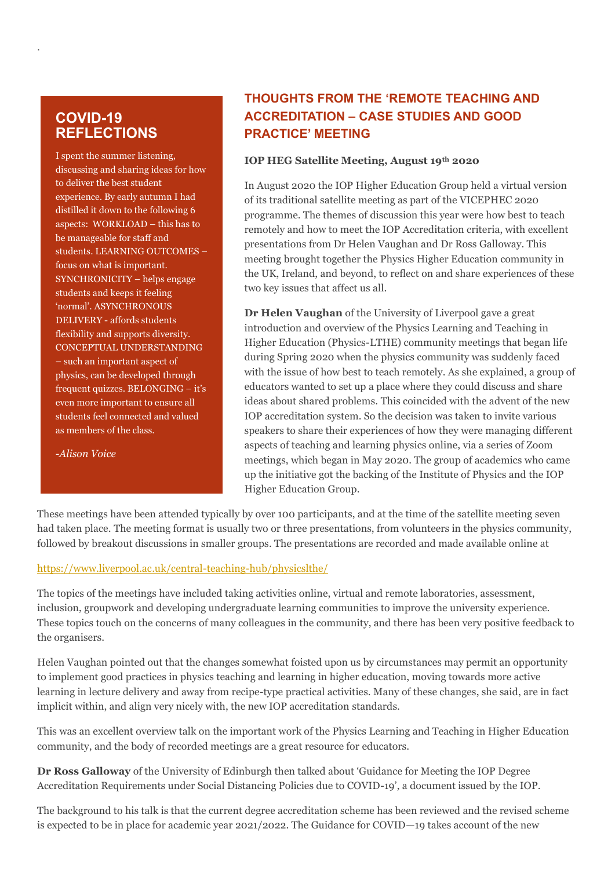# **COVID-19 REFLECTIONS**

.

I spent the summer listening, discussing and sharing ideas for how to deliver the best student experience. By early autumn I had distilled it down to the following 6 aspects: WORKLOAD – this has to be manageable for staff and students. LEARNING OUTCOMES – focus on what is important. SYNCHRONICITY – helps engage students and keeps it feeling 'normal'. ASYNCHRONOUS DELIVERY - affords students flexibility and supports diversity. CONCEPTUAL UNDERSTANDING – such an important aspect of physics, can be developed through frequent quizzes. BELONGING – it's even more important to ensure all students feel connected and valued as members of the class.

*-Alison Voice*

# **THOUGHTS FROM THE 'REMOTE TEACHING AND ACCREDITATION – CASE STUDIES AND GOOD PRACTICE' MEETING**

#### **IOP HEG Satellite Meeting, August 19th 2020**

In August 2020 the IOP Higher Education Group held a virtual version of its traditional satellite meeting as part of the VICEPHEC 2020 programme. The themes of discussion this year were how best to teach remotely and how to meet the IOP Accreditation criteria, with excellent presentations from Dr Helen Vaughan and Dr Ross Galloway. This meeting brought together the Physics Higher Education community in the UK, Ireland, and beyond, to reflect on and share experiences of these two key issues that affect us all.

**Dr Helen Vaughan** of the University of Liverpool gave a great introduction and overview of the Physics Learning and Teaching in Higher Education (Physics-LTHE) community meetings that began life during Spring 2020 when the physics community was suddenly faced with the issue of how best to teach remotely. As she explained, a group of educators wanted to set up a place where they could discuss and share ideas about shared problems. This coincided with the advent of the new IOP accreditation system. So the decision was taken to invite various speakers to share their experiences of how they were managing different aspects of teaching and learning physics online, via a series of Zoom meetings, which began in May 2020. The group of academics who came up the initiative got the backing of the Institute of Physics and the IOP Higher Education Group.

These meetings have been attended typically by over 100 participants, and at the time of the satellite meeting seven had taken place. The meeting format is usually two or three presentations, from volunteers in the physics community, followed by breakout discussions in smaller groups. The presentations are recorded and made available online at

#### <https://www.liverpool.ac.uk/central-teaching-hub/physicslthe/>

The topics of the meetings have included taking activities online, virtual and remote laboratories, assessment, inclusion, groupwork and developing undergraduate learning communities to improve the university experience. These topics touch on the concerns of many colleagues in the community, and there has been very positive feedback to the organisers.

Helen Vaughan pointed out that the changes somewhat foisted upon us by circumstances may permit an opportunity to implement good practices in physics teaching and learning in higher education, moving towards more active learning in lecture delivery and away from recipe-type practical activities. Many of these changes, she said, are in fact implicit within, and align very nicely with, the new IOP accreditation standards.

This was an excellent overview talk on the important work of the Physics Learning and Teaching in Higher Education community, and the body of recorded meetings are a great resource for educators.

**Dr Ross Galloway** of the University of Edinburgh then talked about 'Guidance for Meeting the IOP Degree Accreditation Requirements under Social Distancing Policies due to COVID-19', a document issued by the IOP.

The background to his talk is that the current degree accreditation scheme has been reviewed and the revised scheme is expected to be in place for academic year 2021/2022. The Guidance for COVID—19 takes account of the new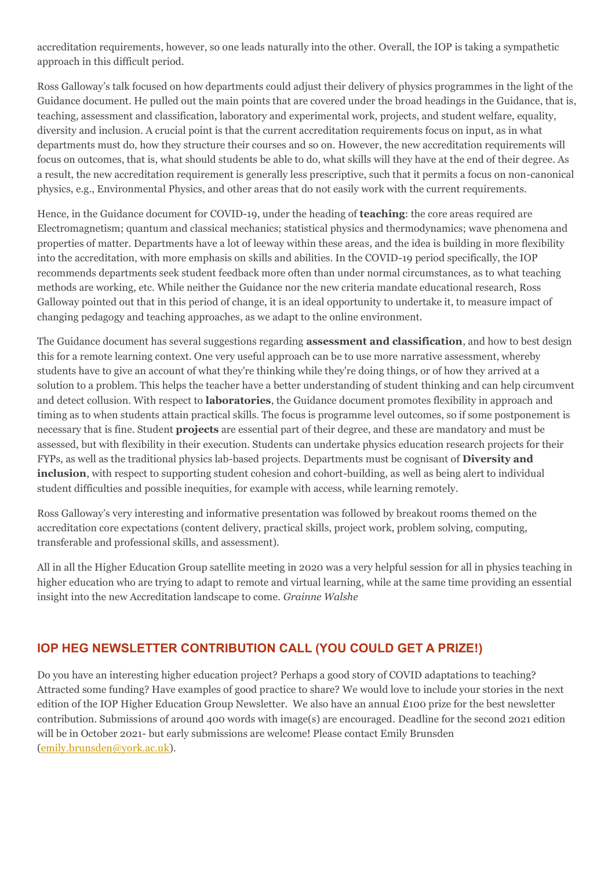accreditation requirements, however, so one leads naturally into the other. Overall, the IOP is taking a sympathetic approach in this difficult period.

Ross Galloway's talk focused on how departments could adjust their delivery of physics programmes in the light of the Guidance document. He pulled out the main points that are covered under the broad headings in the Guidance, that is, teaching, assessment and classification, laboratory and experimental work, projects, and student welfare, equality, diversity and inclusion. A crucial point is that the current accreditation requirements focus on input, as in what departments must do, how they structure their courses and so on. However, the new accreditation requirements will focus on outcomes, that is, what should students be able to do, what skills will they have at the end of their degree. As a result, the new accreditation requirement is generally less prescriptive, such that it permits a focus on non-canonical physics, e.g., Environmental Physics, and other areas that do not easily work with the current requirements.

Hence, in the Guidance document for COVID-19, under the heading of **teaching**: the core areas required are Electromagnetism; quantum and classical mechanics; statistical physics and thermodynamics; wave phenomena and properties of matter. Departments have a lot of leeway within these areas, and the idea is building in more flexibility into the accreditation, with more emphasis on skills and abilities. In the COVID-19 period specifically, the IOP recommends departments seek student feedback more often than under normal circumstances, as to what teaching methods are working, etc. While neither the Guidance nor the new criteria mandate educational research, Ross Galloway pointed out that in this period of change, it is an ideal opportunity to undertake it, to measure impact of changing pedagogy and teaching approaches, as we adapt to the online environment.

The Guidance document has several suggestions regarding **assessment and classification**, and how to best design this for a remote learning context. One very useful approach can be to use more narrative assessment, whereby students have to give an account of what they're thinking while they're doing things, or of how they arrived at a solution to a problem. This helps the teacher have a better understanding of student thinking and can help circumvent and detect collusion. With respect to **laboratories**, the Guidance document promotes flexibility in approach and timing as to when students attain practical skills. The focus is programme level outcomes, so if some postponement is necessary that is fine. Student **projects** are essential part of their degree, and these are mandatory and must be assessed, but with flexibility in their execution. Students can undertake physics education research projects for their FYPs, as well as the traditional physics lab-based projects. Departments must be cognisant of **Diversity and inclusion**, with respect to supporting student cohesion and cohort-building, as well as being alert to individual student difficulties and possible inequities, for example with access, while learning remotely.

Ross Galloway's very interesting and informative presentation was followed by breakout rooms themed on the accreditation core expectations (content delivery, practical skills, project work, problem solving, computing, transferable and professional skills, and assessment).

All in all the Higher Education Group satellite meeting in 2020 was a very helpful session for all in physics teaching in higher education who are trying to adapt to remote and virtual learning, while at the same time providing an essential insight into the new Accreditation landscape to come. *Grainne Walshe*

### **IOP HEG NEWSLETTER CONTRIBUTION CALL (YOU COULD GET A PRIZE!)**

Do you have an interesting higher education project? Perhaps a good story of COVID adaptations to teaching? Attracted some funding? Have examples of good practice to share? We would love to include your stories in the next edition of the IOP Higher Education Group Newsletter. We also have an annual £100 prize for the best newsletter contribution. Submissions of around 400 words with image(s) are encouraged. Deadline for the second 2021 edition will be in October 2021- but early submissions are welcome! Please contact Emily Brunsden (emily.brunsden@york.ac.uk).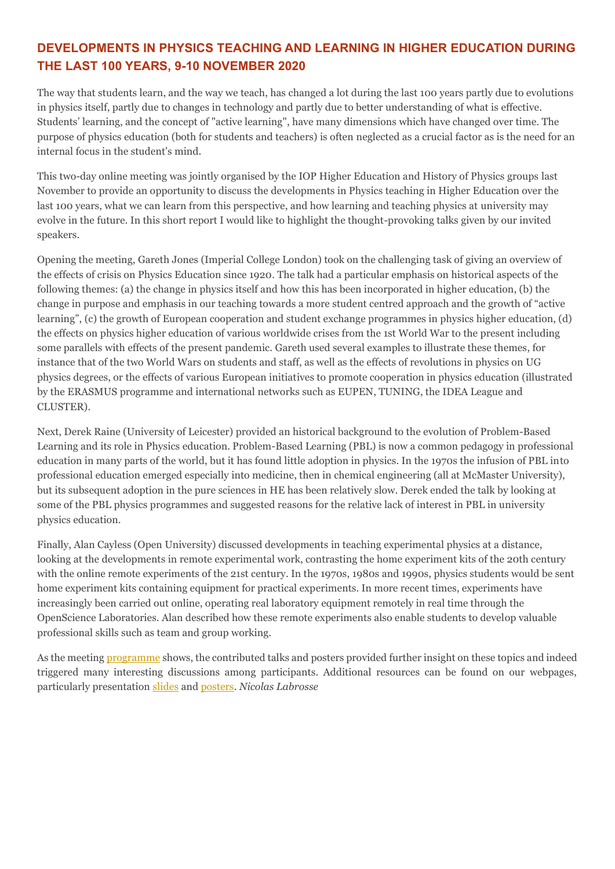# **DEVELOPMENTS IN PHYSICS TEACHING AND LEARNING IN HIGHER EDUCATION DURING THE LAST 100 YEARS, 9-10 NOVEMBER 2020**

The way that students learn, and the way we teach, has changed a lot during the last 100 years partly due to evolutions in physics itself, partly due to changes in technology and partly due to better understanding of what is effective. Students' learning, and the concept of "active learning", have many dimensions which have changed over time. The purpose of physics education (both for students and teachers) is often neglected as a crucial factor as is the need for an internal focus in the student's mind.

This two-day online meeting was jointly organised by the IOP Higher Education and History of Physics groups last November to provide an opportunity to discuss the developments in Physics teaching in Higher Education over the last 100 years, what we can learn from this perspective, and how learning and teaching physics at university may evolve in the future. In this short report I would like to highlight the thought-provoking talks given by our invited speakers.

Opening the meeting, Gareth Jones (Imperial College London) took on the challenging task of giving an overview of the effects of crisis on Physics Education since 1920. The talk had a particular emphasis on historical aspects of the following themes: (a) the change in physics itself and how this has been incorporated in higher education, (b) the change in purpose and emphasis in our teaching towards a more student centred approach and the growth of "active learning", (c) the growth of European cooperation and student exchange programmes in physics higher education, (d) the effects on physics higher education of various worldwide crises from the 1st World War to the present including some parallels with effects of the present pandemic. Gareth used several examples to illustrate these themes, for instance that of the two World Wars on students and staff, as well as the effects of revolutions in physics on UG physics degrees, or the effects of various European initiatives to promote cooperation in physics education (illustrated by the ERASMUS programme and international networks such as EUPEN, TUNING, the IDEA League and CLUSTER).

Next, Derek Raine (University of Leicester) provided an historical background to the evolution of Problem-Based Learning and its role in Physics education. Problem-Based Learning (PBL) is now a common pedagogy in professional education in many parts of the world, but it has found little adoption in physics. In the 1970s the infusion of PBL into professional education emerged especially into medicine, then in chemical engineering (all at McMaster University), but its subsequent adoption in the pure sciences in HE has been relatively slow. Derek ended the talk by looking at some of the PBL physics programmes and suggested reasons for the relative lack of interest in PBL in university physics education.

Finally, Alan Cayless (Open University) discussed developments in teaching experimental physics at a distance, looking at the developments in remote experimental work, contrasting the home experiment kits of the 20th century with the online remote experiments of the 21st century. In the 1970s, 1980s and 1990s, physics students would be sent home experiment kits containing equipment for practical experiments. In more recent times, experiments have increasingly been carried out online, operating real laboratory equipment remotely in real time through the OpenScience Laboratories. Alan described how these remote experiments also enable students to develop valuable professional skills such as team and group working.

As the meetin[g programme](https://www.iopconferences.org/iop/frontend/reg/tOtherPage.csp?pageID=998983&eventID=1541) shows, the contributed talks and posters provided further insight on these topics and indeed triggered many interesting discussions among participants. Additional resources can be found on our webpages, particularly presentation [slides](https://www.iopconferences.org/iop/frontend/reg/tOtherPage.csp?pageID=1012893&eventID=1541) an[d posters.](https://www.iopconferences.org/iop/frontend/reg/tOtherPage.csp?pageID=1001026&eventID=1541) *Nicolas Labrosse*